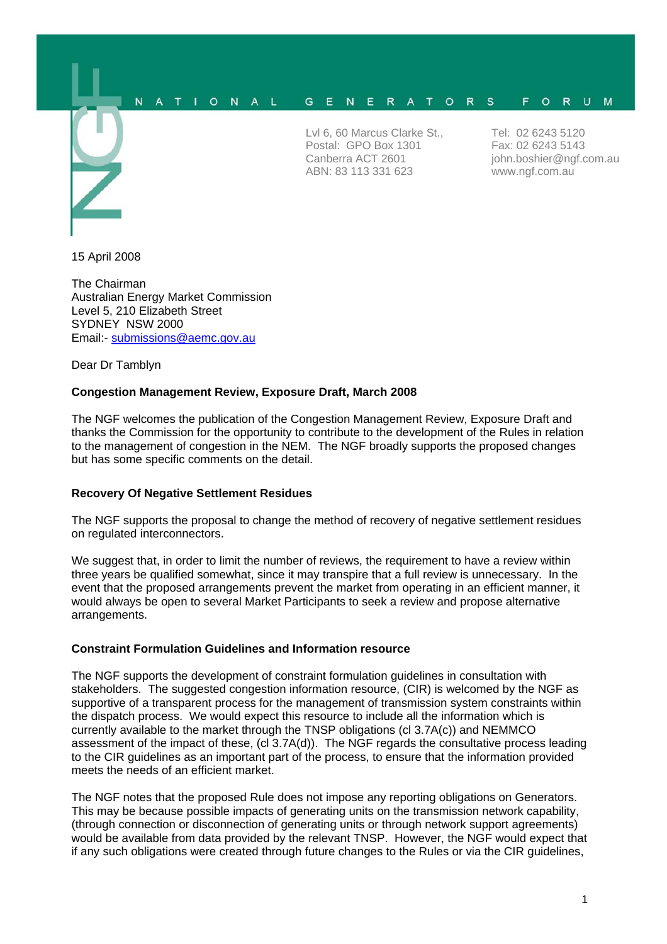#### N O N A G.  $E$ N E R A T O R S F O R U M  $\overline{A}$  $T<sub>1</sub>$ - L

Lvl 6, 60 Marcus Clarke St., Postal: GPO Box 1301 Canberra ACT 2601 ABN: 83 113 331 623

Tel: 02 6243 5120 Fax: 02 6243 5143 john.boshier@ngf.com.au www.ngf.com.au

15 April 2008

The Chairman Australian Energy Market Commission Level 5, 210 Elizabeth Street SYDNEY NSW 2000 Email:- submissions@aemc.gov.au

Dear Dr Tamblyn

# **Congestion Management Review, Exposure Draft, March 2008**

The NGF welcomes the publication of the Congestion Management Review, Exposure Draft and thanks the Commission for the opportunity to contribute to the development of the Rules in relation to the management of congestion in the NEM. The NGF broadly supports the proposed changes but has some specific comments on the detail.

# **Recovery Of Negative Settlement Residues**

The NGF supports the proposal to change the method of recovery of negative settlement residues on regulated interconnectors.

We suggest that, in order to limit the number of reviews, the requirement to have a review within three years be qualified somewhat, since it may transpire that a full review is unnecessary. In the event that the proposed arrangements prevent the market from operating in an efficient manner, it would always be open to several Market Participants to seek a review and propose alternative arrangements.

# **Constraint Formulation Guidelines and Information resource**

The NGF supports the development of constraint formulation guidelines in consultation with stakeholders. The suggested congestion information resource, (CIR) is welcomed by the NGF as supportive of a transparent process for the management of transmission system constraints within the dispatch process. We would expect this resource to include all the information which is currently available to the market through the TNSP obligations (cl 3.7A(c)) and NEMMCO assessment of the impact of these, (cl 3.7A(d)). The NGF regards the consultative process leading to the CIR guidelines as an important part of the process, to ensure that the information provided meets the needs of an efficient market.

The NGF notes that the proposed Rule does not impose any reporting obligations on Generators. This may be because possible impacts of generating units on the transmission network capability, (through connection or disconnection of generating units or through network support agreements) would be available from data provided by the relevant TNSP. However, the NGF would expect that if any such obligations were created through future changes to the Rules or via the CIR guidelines,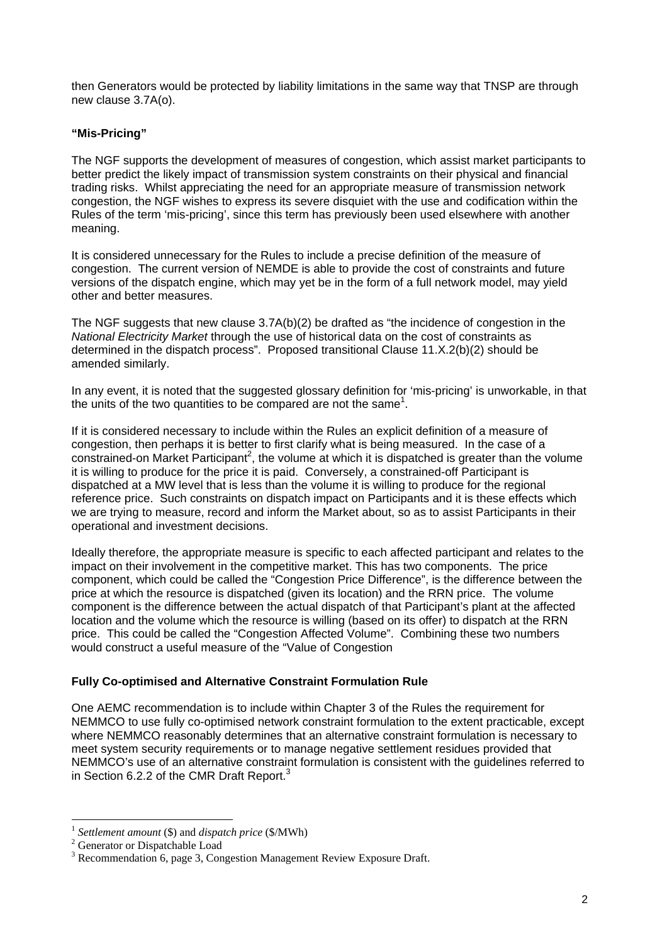then Generators would be protected by liability limitations in the same way that TNSP are through new clause 3.7A(o).

### **"Mis-Pricing"**

The NGF supports the development of measures of congestion, which assist market participants to better predict the likely impact of transmission system constraints on their physical and financial trading risks. Whilst appreciating the need for an appropriate measure of transmission network congestion, the NGF wishes to express its severe disquiet with the use and codification within the Rules of the term 'mis-pricing', since this term has previously been used elsewhere with another meaning.

It is considered unnecessary for the Rules to include a precise definition of the measure of congestion. The current version of NEMDE is able to provide the cost of constraints and future versions of the dispatch engine, which may yet be in the form of a full network model, may yield other and better measures.

The NGF suggests that new clause 3.7A(b)(2) be drafted as "the incidence of congestion in the *National Electricity Market* through the use of historical data on the cost of constraints as determined in the dispatch process". Proposed transitional Clause 11.X.2(b)(2) should be amended similarly.

In any event, it is noted that the suggested glossary definition for 'mis-pricing' is unworkable, in that the units of the two quantities to be compared are not the same<sup>1</sup>.

If it is considered necessary to include within the Rules an explicit definition of a measure of congestion, then perhaps it is better to first clarify what is being measured. In the case of a  $\alpha$  constrained-on Market Participant<sup>2</sup>, the volume at which it is dispatched is greater than the volume it is willing to produce for the price it is paid. Conversely, a constrained-off Participant is dispatched at a MW level that is less than the volume it is willing to produce for the regional reference price. Such constraints on dispatch impact on Participants and it is these effects which we are trying to measure, record and inform the Market about, so as to assist Participants in their operational and investment decisions.

Ideally therefore, the appropriate measure is specific to each affected participant and relates to the impact on their involvement in the competitive market. This has two components. The price component, which could be called the "Congestion Price Difference", is the difference between the price at which the resource is dispatched (given its location) and the RRN price. The volume component is the difference between the actual dispatch of that Participant's plant at the affected location and the volume which the resource is willing (based on its offer) to dispatch at the RRN price. This could be called the "Congestion Affected Volume". Combining these two numbers would construct a useful measure of the "Value of Congestion

#### **Fully Co-optimised and Alternative Constraint Formulation Rule**

One AEMC recommendation is to include within Chapter 3 of the Rules the requirement for NEMMCO to use fully co-optimised network constraint formulation to the extent practicable, except where NEMMCO reasonably determines that an alternative constraint formulation is necessary to meet system security requirements or to manage negative settlement residues provided that NEMMCO's use of an alternative constraint formulation is consistent with the guidelines referred to in Section 6.2.2 of the CMR Draft Report.<sup>3</sup>

 $\overline{a}$ 

<sup>&</sup>lt;sup>1</sup> Settlement amount (\$) and *dispatch price* (\$/MWh)

<sup>&</sup>lt;sup>2</sup> Generator or Dispatchable Load

<sup>&</sup>lt;sup>3</sup> Recommendation 6, page 3, Congestion Management Review Exposure Draft.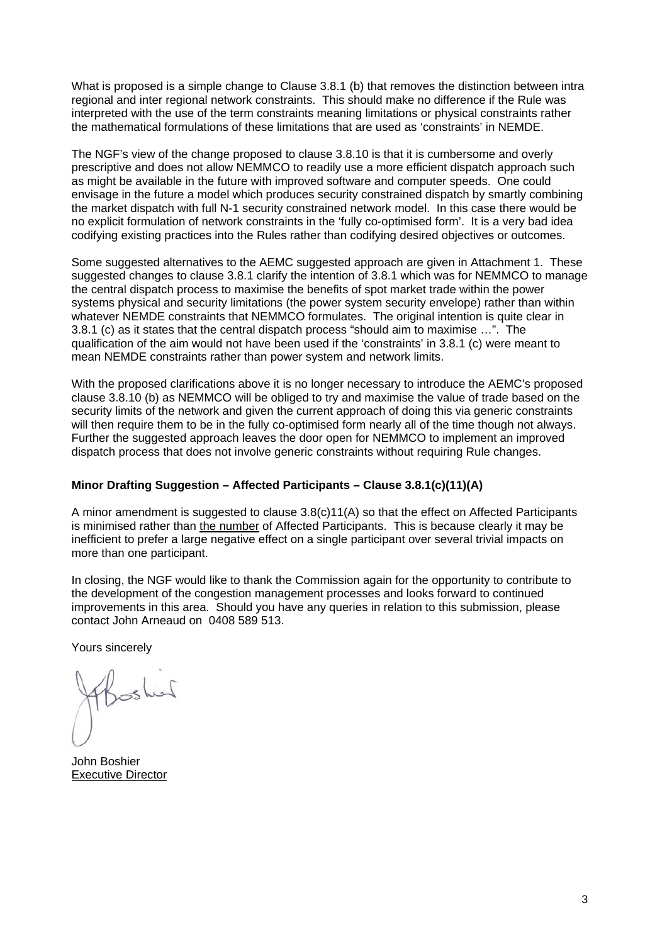What is proposed is a simple change to Clause 3.8.1 (b) that removes the distinction between intra regional and inter regional network constraints. This should make no difference if the Rule was interpreted with the use of the term constraints meaning limitations or physical constraints rather the mathematical formulations of these limitations that are used as 'constraints' in NEMDE.

The NGF's view of the change proposed to clause 3.8.10 is that it is cumbersome and overly prescriptive and does not allow NEMMCO to readily use a more efficient dispatch approach such as might be available in the future with improved software and computer speeds. One could envisage in the future a model which produces security constrained dispatch by smartly combining the market dispatch with full N-1 security constrained network model. In this case there would be no explicit formulation of network constraints in the 'fully co-optimised form'. It is a very bad idea codifying existing practices into the Rules rather than codifying desired objectives or outcomes.

Some suggested alternatives to the AEMC suggested approach are given in Attachment 1. These suggested changes to clause 3.8.1 clarify the intention of 3.8.1 which was for NEMMCO to manage the central dispatch process to maximise the benefits of spot market trade within the power systems physical and security limitations (the power system security envelope) rather than within whatever NEMDE constraints that NEMMCO formulates. The original intention is quite clear in 3.8.1 (c) as it states that the central dispatch process "should aim to maximise …". The qualification of the aim would not have been used if the 'constraints' in 3.8.1 (c) were meant to mean NEMDE constraints rather than power system and network limits.

With the proposed clarifications above it is no longer necessary to introduce the AEMC's proposed clause 3.8.10 (b) as NEMMCO will be obliged to try and maximise the value of trade based on the security limits of the network and given the current approach of doing this via generic constraints will then require them to be in the fully co-optimised form nearly all of the time though not always. Further the suggested approach leaves the door open for NEMMCO to implement an improved dispatch process that does not involve generic constraints without requiring Rule changes.

#### **Minor Drafting Suggestion – Affected Participants – Clause 3.8.1(c)(11)(A)**

A minor amendment is suggested to clause 3.8(c)11(A) so that the effect on Affected Participants is minimised rather than the number of Affected Participants. This is because clearly it may be inefficient to prefer a large negative effect on a single participant over several trivial impacts on more than one participant.

In closing, the NGF would like to thank the Commission again for the opportunity to contribute to the development of the congestion management processes and looks forward to continued improvements in this area. Should you have any queries in relation to this submission, please contact John Arneaud on 0408 589 513.

Yours sincerely

Soshiel

John Boshier Executive Director